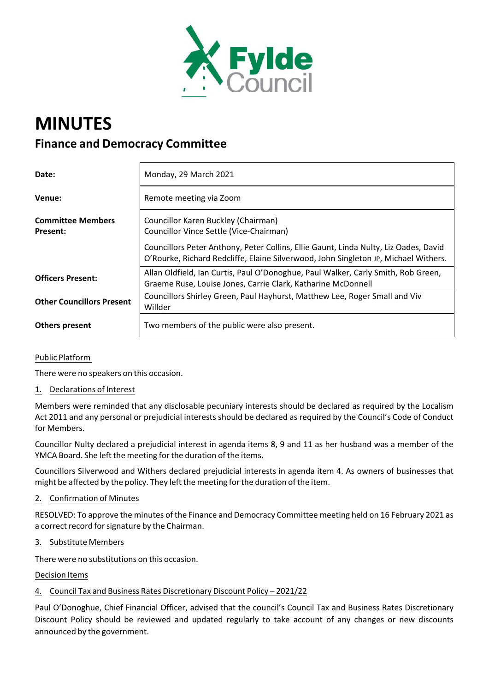

# **MINUTES Finance and Democracy Committee**

| Date:                                | Monday, 29 March 2021                                                                                                                                                       |
|--------------------------------------|-----------------------------------------------------------------------------------------------------------------------------------------------------------------------------|
| Venue:                               | Remote meeting via Zoom                                                                                                                                                     |
| <b>Committee Members</b><br>Present: | Councillor Karen Buckley (Chairman)<br>Councillor Vince Settle (Vice-Chairman)                                                                                              |
|                                      | Councillors Peter Anthony, Peter Collins, Ellie Gaunt, Linda Nulty, Liz Oades, David<br>O'Rourke, Richard Redcliffe, Elaine Silverwood, John Singleton JP, Michael Withers. |
| <b>Officers Present:</b>             | Allan Oldfield, Ian Curtis, Paul O'Donoghue, Paul Walker, Carly Smith, Rob Green,<br>Graeme Ruse, Louise Jones, Carrie Clark, Katharine McDonnell                           |
| <b>Other Councillors Present</b>     | Councillors Shirley Green, Paul Hayhurst, Matthew Lee, Roger Small and Viv<br>Willder                                                                                       |
| <b>Others present</b>                | Two members of the public were also present.                                                                                                                                |

# Public Platform

There were no speakers on this occasion.

# 1. Declarations of Interest

Members were reminded that any disclosable pecuniary interests should be declared as required by the Localism Act 2011 and any personal or prejudicial interests should be declared as required by the Council's Code of Conduct for Members.

Councillor Nulty declared a prejudicial interest in agenda items 8, 9 and 11 as her husband was a member of the YMCA Board. She left the meeting for the duration of the items.

Councillors Silverwood and Withers declared prejudicial interests in agenda item 4. As owners of businesses that might be affected by the policy. They left the meeting forthe duration of the item.

# 2. Confirmation of Minutes

RESOLVED: To approve the minutes of the Finance and Democracy Committee meeting held on 16 February 2021 as a correct record for signature by the Chairman.

#### 3. Substitute Members

There were no substitutions on this occasion.

#### Decision Items

# 4. Council Tax and Business Rates Discretionary Discount Policy – 2021/22

Paul O'Donoghue, Chief Financial Officer, advised that the council's Council Tax and Business Rates Discretionary Discount Policy should be reviewed and updated regularly to take account of any changes or new discounts announced by the government.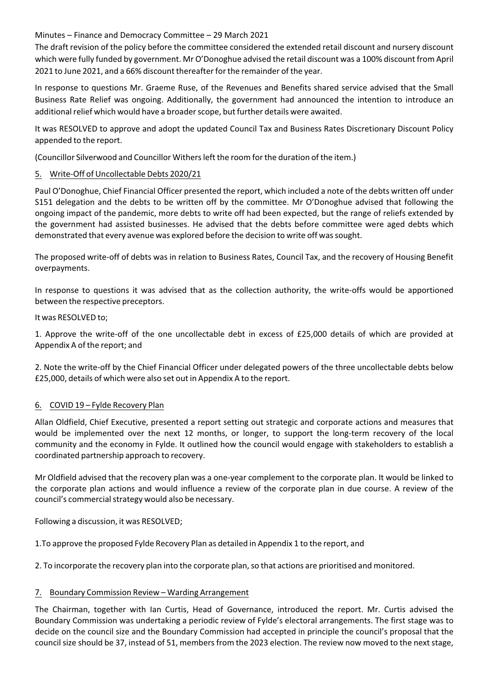The draft revision of the policy before the committee considered the extended retail discount and nursery discount which were fully funded by government. Mr O'Donoghue advised the retail discount was a 100% discount from April 2021 to June 2021, and a 66% discount thereafterforthe remainder of the year.

In response to questions Mr. Graeme Ruse, of the Revenues and Benefits shared service advised that the Small Business Rate Relief was ongoing. Additionally, the government had announced the intention to introduce an additional relief which would have a broader scope, but further details were awaited.

It was RESOLVED to approve and adopt the updated Council Tax and Business Rates Discretionary Discount Policy appended to the report.

(Councillor Silverwood and Councillor Withersleft the room forthe duration of the item.)

## 5. Write‐Off of Uncollectable Debts 2020/21

Paul O'Donoghue, Chief Financial Officer presented the report, which included a note of the debts written off under S151 delegation and the debts to be written off by the committee. Mr O'Donoghue advised that following the ongoing impact of the pandemic, more debts to write off had been expected, but the range of reliefs extended by the government had assisted businesses. He advised that the debts before committee were aged debts which demonstrated that every avenue was explored before the decision to write off wassought.

The proposed write‐off of debts was in relation to Business Rates, Council Tax, and the recovery of Housing Benefit overpayments.

In response to questions it was advised that as the collection authority, the write‐offs would be apportioned between the respective preceptors.

It was RESOLVED to;

1. Approve the write‐off of the one uncollectable debt in excess of £25,000 details of which are provided at Appendix A of the report; and

2. Note the write-off by the Chief Financial Officer under delegated powers of the three uncollectable debts below £25,000, details of which were also set out in Appendix A to the report.

#### 6. COVID 19 – Fylde Recovery Plan

Allan Oldfield, Chief Executive, presented a report setting out strategic and corporate actions and measures that would be implemented over the next 12 months, or longer, to support the long-term recovery of the local community and the economy in Fylde. It outlined how the council would engage with stakeholders to establish a coordinated partnership approach to recovery.

Mr Oldfield advised that the recovery plan was a one‐year complement to the corporate plan. It would be linked to the corporate plan actions and would influence a review of the corporate plan in due course. A review of the council's commercial strategy would also be necessary.

Following a discussion, it was RESOLVED;

1.To approve the proposed Fylde Recovery Plan as detailed in Appendix 1 to the report, and

2. To incorporate the recovery plan into the corporate plan, so that actions are prioritised and monitored.

# 7. Boundary Commission Review – Warding Arrangement

The Chairman, together with Ian Curtis, Head of Governance, introduced the report. Mr. Curtis advised the Boundary Commission was undertaking a periodic review of Fylde's electoral arrangements. The first stage was to decide on the council size and the Boundary Commission had accepted in principle the council's proposal that the council size should be 37, instead of 51, members from the 2023 election. The review now moved to the next stage,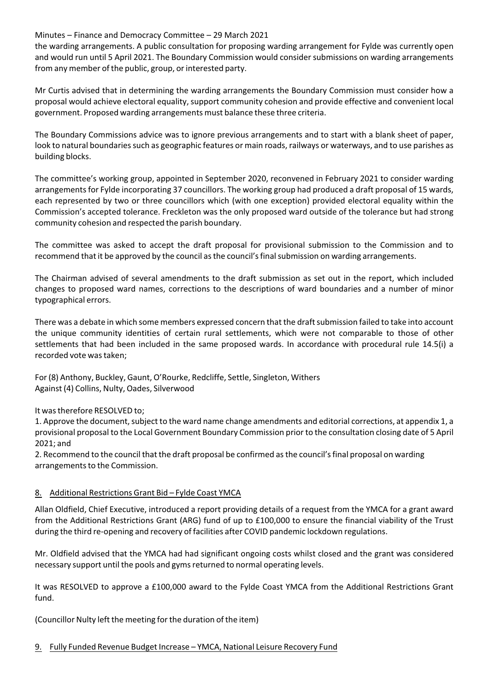the warding arrangements. A public consultation for proposing warding arrangement for Fylde was currently open and would run until 5 April 2021. The Boundary Commission would consider submissions on warding arrangements from any member of the public, group, or interested party.

Mr Curtis advised that in determining the warding arrangements the Boundary Commission must consider how a proposal would achieve electoral equality, support community cohesion and provide effective and convenient local government. Proposed warding arrangements must balance these three criteria.

The Boundary Commissions advice was to ignore previous arrangements and to start with a blank sheet of paper, look to natural boundaries such as geographic features or main roads, railways or waterways, and to use parishes as building blocks.

The committee's working group, appointed in September 2020, reconvened in February 2021 to consider warding arrangements for Fylde incorporating 37 councillors. The working group had produced a draft proposal of 15 wards, each represented by two or three councillors which (with one exception) provided electoral equality within the Commission's accepted tolerance. Freckleton was the only proposed ward outside of the tolerance but had strong community cohesion and respected the parish boundary.

The committee was asked to accept the draft proposal for provisional submission to the Commission and to recommend that it be approved by the council asthe council'sfinalsubmission on warding arrangements.

The Chairman advised of several amendments to the draft submission as set out in the report, which included changes to proposed ward names, corrections to the descriptions of ward boundaries and a number of minor typographical errors.

There was a debate in which some members expressed concern that the draft submission failed to take into account the unique community identities of certain rural settlements, which were not comparable to those of other settlements that had been included in the same proposed wards. In accordance with procedural rule 14.5(i) a recorded vote was taken:

For(8) Anthony, Buckley, Gaunt, O'Rourke, Redcliffe, Settle, Singleton, Withers Against (4) Collins, Nulty, Oades, Silverwood

# It wastherefore RESOLVED to;

1. Approve the document, subject to the ward name change amendments and editorial corrections, at appendix 1, a provisional proposal to the Local Government Boundary Commission prior to the consultation closing date of 5 April 2021; and

2. Recommend to the council that the draft proposal be confirmed asthe council'sfinal proposal on warding arrangements to the Commission.

# 8. Additional Restrictions Grant Bid – Fylde Coast YMCA

Allan Oldfield, Chief Executive, introduced a report providing details of a request from the YMCA for a grant award from the Additional Restrictions Grant (ARG) fund of up to £100,000 to ensure the financial viability of the Trust during the third re‐opening and recovery of facilities after COVID pandemic lockdown regulations.

Mr. Oldfield advised that the YMCA had had significant ongoing costs whilst closed and the grant was considered necessary support until the pools and gyms returned to normal operating levels.

It was RESOLVED to approve a £100,000 award to the Fylde Coast YMCA from the Additional Restrictions Grant fund.

(Councillor Nulty left the meeting forthe duration of the item)

# 9. Fully Funded Revenue Budget Increase – YMCA, National Leisure Recovery Fund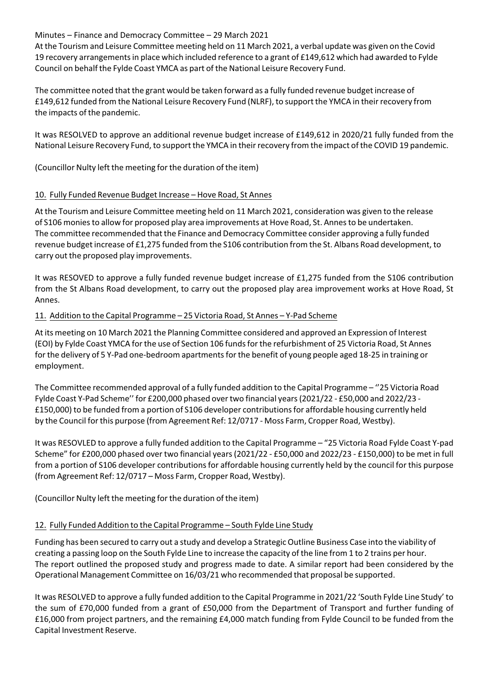At the Tourism and Leisure Committee meeting held on 11 March 2021, a verbal update was given on the Covid 19 recovery arrangementsin place which included reference to a grant of £149,612 which had awarded to Fylde Council on behalf the Fylde Coast YMCA as part of the National Leisure Recovery Fund.

The committee noted that the grant would be taken forward as a fully funded revenue budget increase of £149,612 funded from the National Leisure Recovery Fund (NLRF), to support the YMCA in theirrecovery from the impacts of the pandemic.

It was RESOLVED to approve an additional revenue budget increase of £149,612 in 2020/21 fully funded from the National Leisure Recovery Fund, to support the YMCA in their recovery from the impact of the COVID 19 pandemic.

(Councillor Nulty left the meeting forthe duration of the item)

#### 10. Fully Funded Revenue Budget Increase – Hove Road, St Annes

At the Tourism and Leisure Committee meeting held on 11 March 2021, consideration was given to the release of S106 moniesto allow for proposed play area improvements at Hove Road, St. Annesto be undertaken. The committee recommended that the Finance and Democracy Committee consider approving a fully funded revenue budget increase of £1,275 funded from the S106 contribution from the St. Albans Road development, to carry out the proposed play improvements.

It was RESOVED to approve a fully funded revenue budget increase of £1,275 funded from the S106 contribution from the St Albans Road development, to carry out the proposed play area improvement works at Hove Road, St Annes.

#### 11. Addition to the Capital Programme – 25 Victoria Road, St Annes – Y‐Pad Scheme

At its meeting on 10 March 2021 the Planning Committee considered and approved an Expression of Interest (EOI) by Fylde Coast YMCA forthe use of Section 106 fundsforthe refurbishment of 25 Victoria Road, St Annes for the delivery of 5 Y-Pad one-bedroom apartments for the benefit of young people aged 18-25 in training or employment.

The Committee recommended approval of a fully funded addition to the Capital Programme – ''25 Victoria Road Fylde Coast Y‐Pad Scheme'' for £200,000 phased overtwo financial years(2021/22 ‐ £50,000 and 2022/23 ‐ £150,000) to be funded from a portion of S106 developer contributionsfor affordable housing currently held by the Council for this purpose (from Agreement Ref: 12/0717 - Moss Farm, Cropper Road, Westby).

It was RESOVLED to approve a fully funded addition to the Capital Programme – "25 Victoria Road Fylde Coast Y‐pad Scheme" for £200,000 phased over two financial years(2021/22 ‐ £50,000 and 2022/23 ‐ £150,000) to be met in full from a portion of S106 developer contributions for affordable housing currently held by the council for this purpose (from Agreement Ref: 12/0717 – Moss Farm, Cropper Road, Westby).

(Councillor Nulty left the meeting forthe duration of the item)

#### 12. Fully Funded Addition to the Capital Programme – South Fylde Line Study

Funding has been secured to carry out a study and develop a Strategic Outline Business Case into the viability of creating a passing loop on the South Fylde Line to increase the capacity of the line from 1 to 2 trains per hour. The report outlined the proposed study and progress made to date. A similar report had been considered by the Operational Management Committee on 16/03/21 who recommended that proposal be supported.

It was RESOLVED to approve a fully funded addition to the Capital Programme in 2021/22 'South Fylde Line Study' to the sum of £70,000 funded from a grant of £50,000 from the Department of Transport and further funding of £16,000 from project partners, and the remaining £4,000 match funding from Fylde Council to be funded from the Capital Investment Reserve.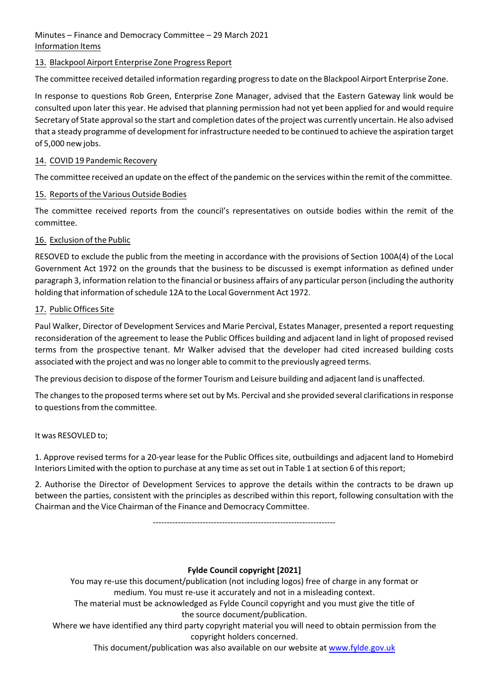# Minutes – Finance and Democracy Committee – 29 March 2021 Information Items

# 13. Blackpool Airport Enterprise Zone Progress Report

The committee received detailed information regarding progressto date on the Blackpool Airport Enterprise Zone.

In response to questions Rob Green, Enterprise Zone Manager, advised that the Eastern Gateway link would be consulted upon later this year. He advised that planning permission had not yet been applied for and would require Secretary of State approval so the start and completion dates of the project was currently uncertain. He also advised that a steady programme of development forinfrastructure needed to be continued to achieve the aspiration target of 5,000 new jobs.

#### 14. COVID 19 Pandemic Recovery

The committee received an update on the effect of the pandemic on the services within the remit of the committee.

# 15. Reports of the Various Outside Bodies

The committee received reports from the council's representatives on outside bodies within the remit of the committee.

# 16. Exclusion of the Public

RESOVED to exclude the public from the meeting in accordance with the provisions of Section 100A(4) of the Local Government Act 1972 on the grounds that the business to be discussed is exempt information as defined under paragraph 3, information relation to the financial or business affairs of any particular person (including the authority holding that information of schedule 12A to the Local Government Act 1972.

# 17. Public Offices Site

Paul Walker, Director of Development Services and Marie Percival, Estates Manager, presented a report requesting reconsideration of the agreement to lease the Public Offices building and adjacent land in light of proposed revised terms from the prospective tenant. Mr Walker advised that the developer had cited increased building costs associated with the project and was no longer able to commit to the previously agreed terms.

The previous decision to dispose of the former Tourism and Leisure building and adjacent land is unaffected.

The changes to the proposed terms where set out by Ms. Percival and she provided several clarifications in response to questions from the committee.

It was RESOVLED to;

1. Approve revised terms for a 20‐year lease for the Public Offices site, outbuildings and adjacent land to Homebird Interiors Limited with the option to purchase at any time as set out in Table 1 at section 6 of this report;

2. Authorise the Director of Development Services to approve the details within the contracts to be drawn up between the parties, consistent with the principles as described within this report, following consultation with the Chairman and the Vice Chairman of the Finance and Democracy Committee.

‐‐‐‐‐‐‐‐‐‐‐‐‐‐‐‐‐‐‐‐‐‐‐‐‐‐‐‐‐‐‐‐‐‐‐‐‐‐‐‐‐‐‐‐‐‐‐‐‐‐‐‐‐‐‐‐‐‐‐‐‐‐‐‐‐‐

# **Fylde Council copyright [2021]**

You may re‐use this document/publication (not including logos) free of charge in any format or medium. You must re‐use it accurately and not in a misleading context.

The material must be acknowledged as Fylde Council copyright and you must give the title of the source document/publication.

Where we have identified any third party copyright material you will need to obtain permission from the copyright holders concerned.

This document/publication was also available on our website at www.fylde.gov.uk